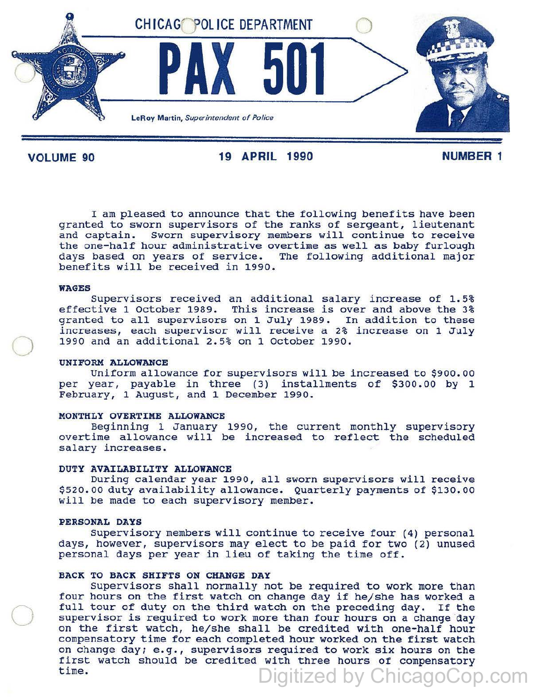

VOLUME 90 19 APRIL 1990 NUMBER 1

I am pleased to announce that the following benefits have been granted to sworn supervisors of the ranks of sergeant, lieutenant and captain. sworn supervisory members will continue to receive the one-half hour administrative overtime as well as baby furlough days based on years of service. The following additional major benefits will be received in 1990.

### WAGES

 $\bigcirc$ 

 $\bigcirc$ 

Supervisors received an additional salary increase of 1.5% effective 1 October 1989. This increase is over and above the 3% granted to all supervisors on 1 July 1989. In addition to these increases, each supervisor will receive a 2% increase on 1 July 1990 and an additional 2.5% on 1 October 1990.

### UNIFORM ALLOWANCE

Uniform allowance for supervisors will be increased to \$900. 00 per year, payable in three (3) installments of \$300.00 by 1 February, 1 August, and 1 December 1990.

#### MONTHLY OVERTIME ALLOWANCE

Beginning 1 January 1990, the current monthly supervisory overtime allowance will be increased to reflect the scheduled salary increases.

#### DUTY AVAILABILITY ALLOWANCE

During calendar year 1990, all sworn supervisors will receive \$520. 00 duty availability allowance. Quarterly payments of \$130. oo will be made to each supervisory member.

### PERSONAL DAYS

Supervisory members will continue to receive four (4) personal days, however, supervisors may elect to be paid for two (2) unused personal days per year in lieu of taking the time off.

# BACK TO BACK SHIFTS ON CHANGE DAY

supervisors shall normally not be required to work more than four hours on the first watch on change day if he/she has worked a full tour of duty on the third watch on the preceding day. If the supervisor is required to work more than four hours on a change day on the first watch, he/she. shall be credited with one-half hour compensatory time for each completed hour worked on the first watch on change day; e.g., supervisors required to work six hours on the first watch should be credited with three hours of compensatory time. Digitized by ChicagoCop.com